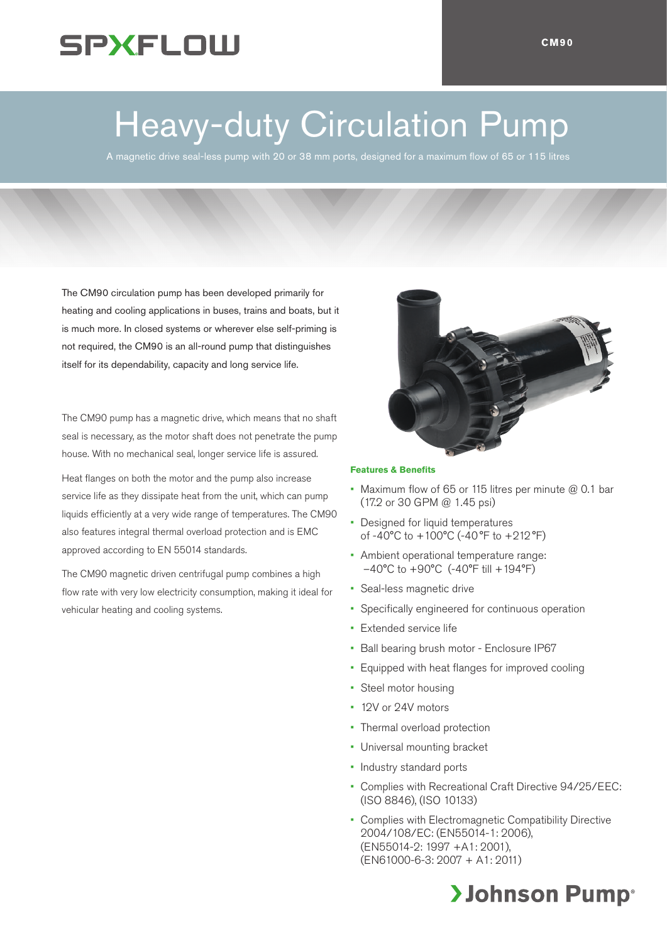## **SPXFLOW**

# Heavy-duty Circulation Pump

A magnetic drive seal-less pump with 20 or 38 mm ports, designed for a maximum flow of 65 or 115 litres

The CM90 circulation pump has been developed primarily for heating and cooling applications in buses, trains and boats, but it is much more. In closed systems or wherever else self-priming is not required, the CM90 is an all-round pump that distinguishes itself for its dependability, capacity and long service life.

The CM90 pump has a magnetic drive, which means that no shaft seal is necessary, as the motor shaft does not penetrate the pump house. With no mechanical seal, longer service life is assured.

Heat flanges on both the motor and the pump also increase service life as they dissipate heat from the unit, which can pump liquids efficiently at a very wide range of temperatures. The CM90 also features integral thermal overload protection and is EMC approved according to EN 55014 standards.

The CM90 magnetic driven centrifugal pump combines a high flow rate with very low electricity consumption, making it ideal for vehicular heating and cooling systems.



### **Features & Benefits**

- Maximum flow of 65 or 115 litres per minute @ 0.1 bar (17.2 or 30 GPM @ 1.45 psi)
- Designed for liquid temperatures of -40°C to +100°C (-40°F to +212°F)
- Ambient operational temperature range:  $-40^{\circ}$ C to  $+90^{\circ}$ C (-40 $^{\circ}$ F till  $+194^{\circ}$ F)
- Seal-less magnetic drive
- Specifically engineered for continuous operation
- Extended service life
- Ball bearing brush motor Enclosure IP67
- Equipped with heat flanges for improved cooling
- Steel motor housing
- 12V or 24V motors
- Thermal overload protection
- Universal mounting bracket
- Industry standard ports
- Complies with Recreational Craft Directive 94/25/EEC: (ISO 8846), (ISO 10133)
- Complies with Electromagnetic Compatibility Directive 2004/108/EC: (EN55014-1: 2006), (EN55014-2: 1997 +A1: 2001), (EN61000-6-3: 2007 + A1: 2011)